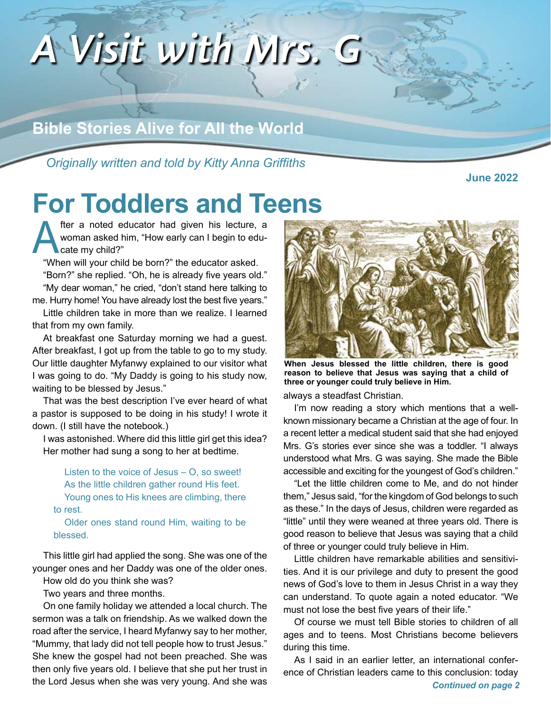

*Originally written and told by Kitty Anna Griffiths*

**June 2022**

# **For Toddlers and Teens**

fter a noted educator had given his lecture, a<br>woman asked him, "How early can I begin to edu-<br>cate my child?" woman asked him, "How early can I begin to educate my child?"

"When will your child be born?" the educator asked.

"Born?" she replied. "Oh, he is already five years old." "My dear woman," he cried, "don't stand here talking to me. Hurry home! You have already lost the best five years."

Little children take in more than we realize. I learned that from my own family.

At breakfast one Saturday morning we had a guest. After breakfast, I got up from the table to go to my study. Our little daughter Myfanwy explained to our visitor what I was going to do. "My Daddy is going to his study now, waiting to be blessed by Jesus."

That was the best description I've ever heard of what a pastor is supposed to be doing in his study! I wrote it down. (I still have the notebook.)

I was astonished. Where did this little girl get this idea? Her mother had sung a song to her at bedtime.

Listen to the voice of Jesus – O, so sweet! As the little children gather round His feet. Young ones to His knees are climbing, there to rest.

Older ones stand round Him, waiting to be blessed.

This little girl had applied the song. She was one of the younger ones and her Daddy was one of the older ones.

How old do you think she was?

Two years and three months.

On one family holiday we attended a local church. The sermon was a talk on friendship. As we walked down the road after the service, I heard Myfanwy say to her mother, "Mummy, that lady did not tell people how to trust Jesus." She knew the gospel had not been preached. She was then only five years old. I believe that she put her trust in the Lord Jesus when she was very young. And she was



**When Jesus blessed the little children, there is good reason to believe that Jesus was saying that a child of three or younger could truly believe in Him.**

always a steadfast Christian.

I'm now reading a story which mentions that a wellknown missionary became a Christian at the age of four. In a recent letter a medical student said that she had enjoyed Mrs. G's stories ever since she was a toddler. "I always understood what Mrs. G was saying. She made the Bible accessible and exciting for the youngest of God's children."

"Let the little children come to Me, and do not hinder them," Jesus said, "for the kingdom of God belongs to such as these." In the days of Jesus, children were regarded as "little" until they were weaned at three years old. There is good reason to believe that Jesus was saying that a child of three or younger could truly believe in Him.

Little children have remarkable abilities and sensitivities. And it is our privilege and duty to present the good news of God's love to them in Jesus Christ in a way they can understand. To quote again a noted educator. "We must not lose the best five years of their life."

Of course we must tell Bible stories to children of all ages and to teens. Most Christians become believers during this time.

As I said in an earlier letter, an international conference of Christian leaders came to this conclusion: today *Continued on page 2*